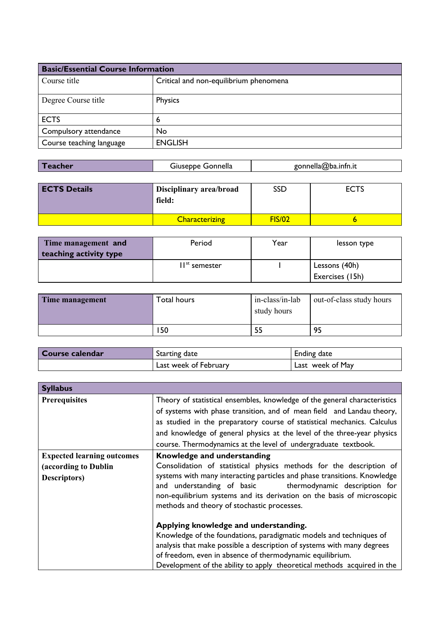| <b>Basic/Essential Course Information</b> |                                        |
|-------------------------------------------|----------------------------------------|
| Course title                              | Critical and non-equilibrium phenomena |
| Degree Course title                       | Physics                                |
| <b>ECTS</b>                               | 6                                      |
| Compulsory attendance                     | No                                     |
| Course teaching language                  | <b>ENGLISH</b>                         |

| Teacher | Gonnella<br><b>usebbe:د</b> | gonnella@ba.infn.it |
|---------|-----------------------------|---------------------|
|         |                             |                     |

| <b>ECTS Details</b> | Disciplinary area/broad<br>field: | SSD           | <b>ECTS</b> |
|---------------------|-----------------------------------|---------------|-------------|
|                     | <b>Characterizing</b>             | <b>FIS/02</b> |             |

| Time management and    | Period                    | Year | lesson type     |
|------------------------|---------------------------|------|-----------------|
| teaching activity type |                           |      |                 |
|                        | II <sup>st</sup> semester |      | Lessons (40h)   |
|                        |                           |      | Exercises (15h) |

| Time management | Гоtal hours | in-class/in-lab<br>study hours | out-of-class study hours |
|-----------------|-------------|--------------------------------|--------------------------|
|                 | 150         | 55                             | 95                       |

| Course calendar | Starting date         | <b>Ending date</b> |
|-----------------|-----------------------|--------------------|
|                 | Last week of February | Last week of May   |

| <b>Syllabus</b>                                                           |                                                                                                                                                                                                                                                                                                                                                                                                                                                                                                                                                                  |
|---------------------------------------------------------------------------|------------------------------------------------------------------------------------------------------------------------------------------------------------------------------------------------------------------------------------------------------------------------------------------------------------------------------------------------------------------------------------------------------------------------------------------------------------------------------------------------------------------------------------------------------------------|
| <b>Prerequisites</b>                                                      | Theory of statistical ensembles, knowledge of the general characteristics<br>of systems with phase transition, and of mean field and Landau theory,<br>as studied in the preparatory course of statistical mechanics. Calculus<br>and knowledge of general physics at the level of the three-year physics<br>course. Thermodynamics at the level of undergraduate textbook.                                                                                                                                                                                      |
| <b>Expected learning outcomes</b><br>(according to Dublin<br>Descriptors) | Knowledge and understanding<br>Consolidation of statistical physics methods for the description of<br>systems with many interacting particles and phase transitions. Knowledge<br>and understanding of basic<br>thermodynamic description for<br>non-equilibrium systems and its derivation on the basis of microscopic<br>methods and theory of stochastic processes.<br>Applying knowledge and understanding.<br>Knowledge of the foundations, paradigmatic models and techniques of<br>analysis that make possible a description of systems with many degrees |
|                                                                           | of freedom, even in absence of thermodynamic equilibrium.<br>Development of the ability to apply theoretical methods acquired in the                                                                                                                                                                                                                                                                                                                                                                                                                             |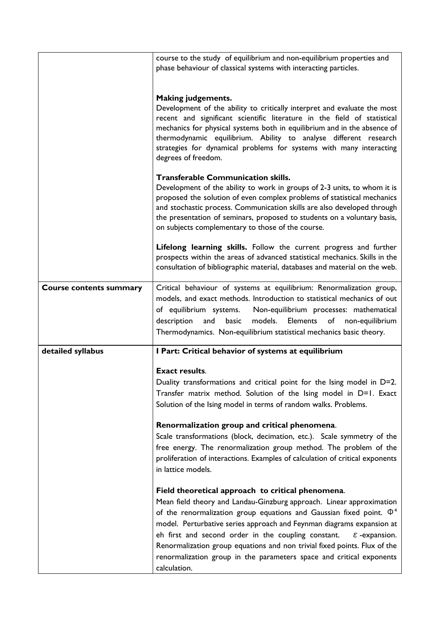|                                | course to the study of equilibrium and non-equilibrium properties and<br>phase behaviour of classical systems with interacting particles.                                                                                                                                                                                                                                                                                                                                                                                                |
|--------------------------------|------------------------------------------------------------------------------------------------------------------------------------------------------------------------------------------------------------------------------------------------------------------------------------------------------------------------------------------------------------------------------------------------------------------------------------------------------------------------------------------------------------------------------------------|
|                                | <b>Making judgements.</b><br>Development of the ability to critically interpret and evaluate the most<br>recent and significant scientific literature in the field of statistical<br>mechanics for physical systems both in equilibrium and in the absence of<br>thermodynamic equilibrium. Ability to analyse different research<br>strategies for dynamical problems for systems with many interacting<br>degrees of freedom.                                                                                                          |
|                                | <b>Transferable Communication skills.</b><br>Development of the ability to work in groups of 2-3 units, to whom it is<br>proposed the solution of even complex problems of statistical mechanics<br>and stochastic process. Communication skills are also developed through<br>the presentation of seminars, proposed to students on a voluntary basis,<br>on subjects complementary to those of the course.                                                                                                                             |
|                                | Lifelong learning skills. Follow the current progress and further<br>prospects within the areas of advanced statistical mechanics. Skills in the<br>consultation of bibliographic material, databases and material on the web.                                                                                                                                                                                                                                                                                                           |
| <b>Course contents summary</b> | Critical behaviour of systems at equilibrium: Renormalization group,<br>models, and exact methods. Introduction to statistical mechanics of out<br>Non-equilibrium processes: mathematical<br>of equilibrium systems.<br>models.<br>description<br>and<br>basic<br>Elements<br>of non-equilibrium<br>Thermodynamics. Non-equilibrium statistical mechanics basic theory.                                                                                                                                                                 |
| detailed syllabus              | I Part: Critical behavior of systems at equilibrium                                                                                                                                                                                                                                                                                                                                                                                                                                                                                      |
|                                | <b>Exact results.</b><br>Duality transformations and critical point for the Ising model in D=2.<br>Transfer matrix method. Solution of the Ising model in D=1. Exact<br>Solution of the Ising model in terms of random walks. Problems.                                                                                                                                                                                                                                                                                                  |
|                                | Renormalization group and critical phenomena.<br>Scale transformations (block, decimation, etc.). Scale symmetry of the<br>free energy. The renormalization group method. The problem of the<br>proliferation of interactions. Examples of calculation of critical exponents<br>in lattice models.                                                                                                                                                                                                                                       |
|                                | Field theoretical approach to critical phenomena.<br>Mean field theory and Landau-Ginzburg approach. Linear approximation<br>of the renormalization group equations and Gaussian fixed point. $\Phi^4$<br>model. Perturbative series approach and Feynman diagrams expansion at<br>eh first and second order in the coupling constant.<br>$\varepsilon$ -expansion.<br>Renormalization group equations and non trivial fixed points. Flux of the<br>renormalization group in the parameters space and critical exponents<br>calculation. |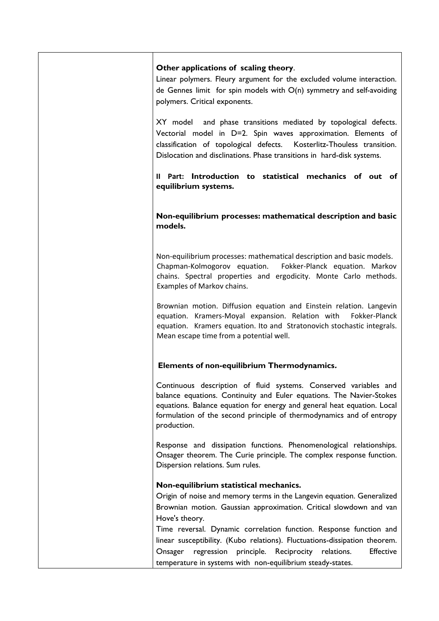| Other applications of scaling theory.<br>Linear polymers. Fleury argument for the excluded volume interaction.<br>de Gennes limit for spin models with $O(n)$ symmetry and self-avoiding<br>polymers. Critical exponents.                                                                                  |
|------------------------------------------------------------------------------------------------------------------------------------------------------------------------------------------------------------------------------------------------------------------------------------------------------------|
| XY model and phase transitions mediated by topological defects.<br>Vectorial model in D=2. Spin waves approximation. Elements of<br>classification of topological defects. Kosterlitz-Thouless transition.<br>Dislocation and disclinations. Phase transitions in hard-disk systems.                       |
| Il Part: Introduction to statistical mechanics of out of<br>equilibrium systems.                                                                                                                                                                                                                           |
| Non-equilibrium processes: mathematical description and basic<br>models.                                                                                                                                                                                                                                   |
| Non-equilibrium processes: mathematical description and basic models.<br>Chapman-Kolmogorov equation. Fokker-Planck equation. Markov<br>chains. Spectral properties and ergodicity. Monte Carlo methods.<br>Examples of Markov chains.                                                                     |
| Brownian motion. Diffusion equation and Einstein relation. Langevin<br>equation. Kramers-Moyal expansion. Relation with<br>Fokker-Planck<br>equation. Kramers equation. Ito and Stratonovich stochastic integrals.<br>Mean escape time from a potential well.                                              |
| Elements of non-equilibrium Thermodynamics.                                                                                                                                                                                                                                                                |
| Continuous description of fluid systems. Conserved variables and<br>balance equations. Continuity and Euler equations. The Navier-Stokes<br>equations. Balance equation for energy and general heat equation. Local<br>formulation of the second principle of thermodynamics and of entropy<br>production. |
| Response and dissipation functions. Phenomenological relationships.<br>Onsager theorem. The Curie principle. The complex response function.<br>Dispersion relations. Sum rules.                                                                                                                            |
| Non-equilibrium statistical mechanics.<br>Origin of noise and memory terms in the Langevin equation. Generalized<br>Brownian motion. Gaussian approximation. Critical slowdown and van<br>Hove's theory.                                                                                                   |
| Time reversal. Dynamic correlation function. Response function and<br>linear susceptibility. (Kubo relations). Fluctuations-dissipation theorem.<br><b>Effective</b><br>regression principle. Reciprocity relations.<br>Onsager<br>temperature in systems with non-equilibrium steady-states.              |